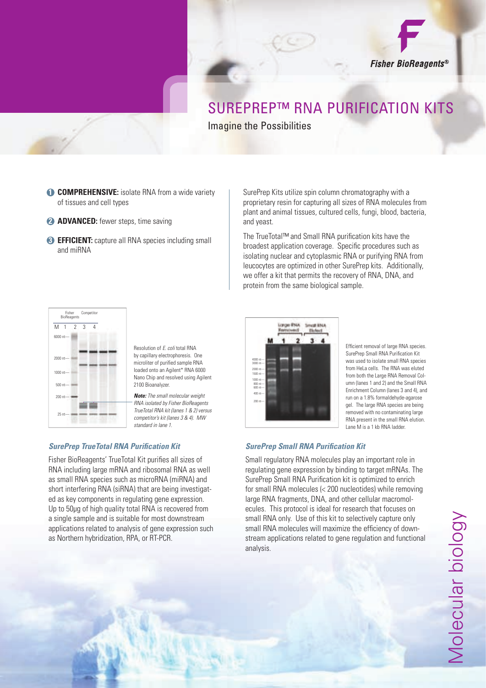

## SUREPREP™ RNA PURIFICATION KITS Imagine the Possibilities

- **1 COMPREHENSIVE:** isolate RNA from a wide variety of tissues and cell types
- **2 ADVANCED:** fewer steps, time saving
- **3 EFFICIENT:** capture all RNA species including small and miRNA

SurePrep Kits utilize spin column chromatography with a proprietary resin for capturing all sizes of RNA molecules from plant and animal tissues, cultured cells, fungi, blood, bacteria, and yeast.

The TrueTotal™ and Small RNA purification kits have the broadest application coverage. Specific procedures such as isolating nuclear and cytoplasmic RNA or purifying RNA from leucocytes are optimized in other SurePrep kits. Additionally, we offer a kit that permits the recovery of RNA, DNA, and protein from the same biological sample.



Resolution of *E. coli* total RNA by capillary electrophoresis. One microliter of purified sample RNA loaded onto an Agilent\* RNA 6000 Nano Chip and resolved using Agilent 2100 Bioanalyzer.

*Note: The small molecular weight RNA isolated by Fisher BioReagents TrueTotal RNA kit (lanes 1 & 2) versus competitor's kit (lanes 3 & 4). MW standard in lane 1.*

## **SurePrep TrueTotal RNA Purification Kit**

Fisher BioReagents' TrueTotal Kit purifies all sizes of RNA including large mRNA and ribosomal RNA as well as small RNA species such as microRNA (miRNA) and short interfering RNA (siRNA) that are being investigated as key components in regulating gene expression. Up to 50 $\mu$ g of high quality total RNA is recovered from a single sample and is suitable for most downstream applications related to analysis of gene expression such as Northern hybridization, RPA, or RT-PCR.

| 4000 nt-<br>3000 nt-                  |  |  |  |
|---------------------------------------|--|--|--|
| 2000 nt-<br>$1500$ nt-                |  |  |  |
| $1000$ nt-<br>$-$ tn 008<br>$600$ nt- |  |  |  |
| $400$ nt-                             |  |  |  |
| $200$ nt-                             |  |  |  |

Efficient removal of large RNA species. SurePrep Small RNA Purification Kit was used to isolate small RNA species from HeLa cells. The RNA was eluted from both the Large RNA Removal Column (lanes 1 and 2) and the Small RNA Enrichment Column (lanes 3 and 4), and run on a 1.8% formaldehyde-agarose gel. The large RNA species are being removed with no contaminating large RNA present in the small RNA elution. Lane M is a 1 kb RNA ladder

## **SurePrep Small RNA Purification Kit**

Small regulatory RNA molecules play an important role in regulating gene expression by binding to target mRNAs. The SurePrep Small RNA Purification kit is optimized to enrich for small RNA molecules (< 200 nucleotides) while removing large RNA fragments, DNA, and other cellular macromolecules. This protocol is ideal for research that focuses on small RNA only. Use of this kit to selectively capture only small RNA molecules will maximize the efficiency of downstream applications related to gene regulation and functional analysis.